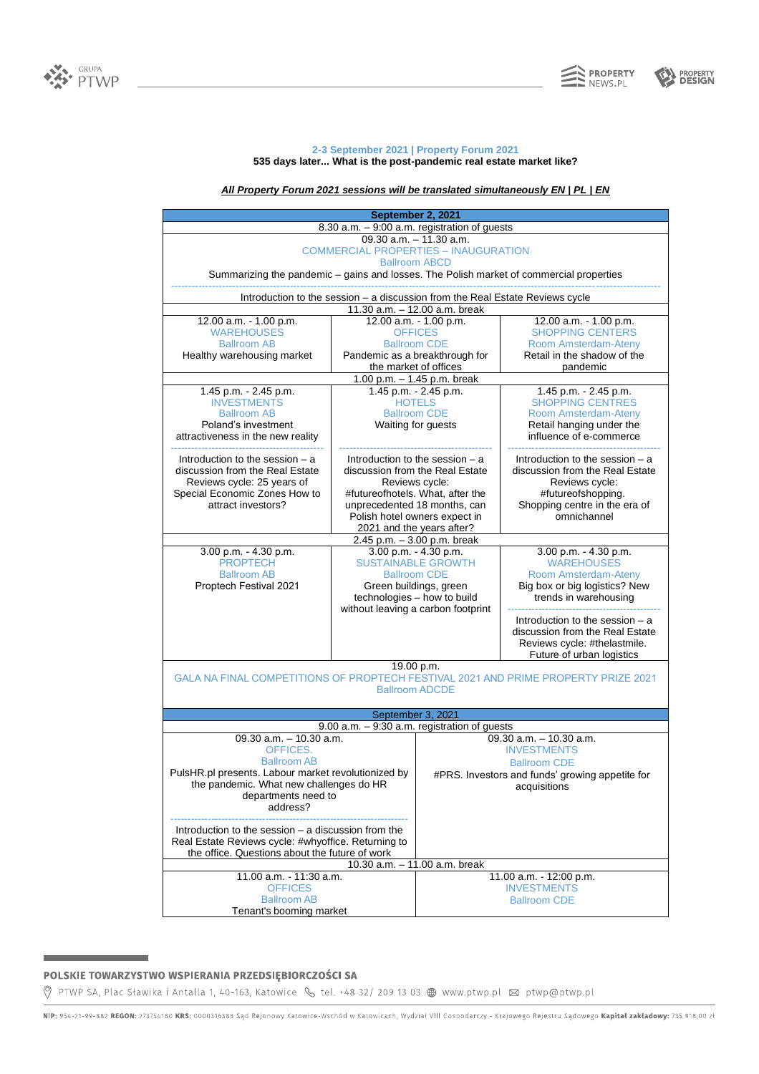



## **2-3 September 2021 | Property Forum 2021 535 days later... What is the post-pandemic real estate market like?**

# *All Property Forum 2021 sessions will be translated simultaneously EN | PL | EN*

| September 2, 2021                                                                                            |                                                                           |                                                       |                                                     |  |
|--------------------------------------------------------------------------------------------------------------|---------------------------------------------------------------------------|-------------------------------------------------------|-----------------------------------------------------|--|
| 8.30 a.m. - 9:00 a.m. registration of guests                                                                 |                                                                           |                                                       |                                                     |  |
| 09.30 a.m. - 11.30 a.m.                                                                                      |                                                                           |                                                       |                                                     |  |
| <b>COMMERCIAL PROPERTIES - INAUGURATION</b>                                                                  |                                                                           |                                                       |                                                     |  |
| <b>Ballroom ABCD</b>                                                                                         |                                                                           |                                                       |                                                     |  |
| Summarizing the pandemic - gains and losses. The Polish market of commercial properties                      |                                                                           |                                                       |                                                     |  |
| Introduction to the session - a discussion from the Real Estate Reviews cycle                                |                                                                           |                                                       |                                                     |  |
| 11.30 a.m. - 12.00 a.m. break                                                                                |                                                                           |                                                       |                                                     |  |
| 12.00 a.m. - 1.00 p.m.                                                                                       | 12.00 a.m. - 1.00 p.m.<br><b>OFFICES</b>                                  |                                                       | 12.00 a.m. - 1.00 p.m.                              |  |
| <b>WAREHOUSES</b>                                                                                            |                                                                           |                                                       | <b>SHOPPING CENTERS</b>                             |  |
| <b>Ballroom AB</b><br>Healthy warehousing market                                                             |                                                                           | <b>Ballroom CDE</b><br>Pandemic as a breakthrough for | Room Amsterdam-Ateny<br>Retail in the shadow of the |  |
|                                                                                                              |                                                                           |                                                       | pandemic                                            |  |
| the market of offices<br>1.00 p.m. - 1.45 p.m. break                                                         |                                                                           |                                                       |                                                     |  |
| 1.45 p.m. - 2.45 p.m.                                                                                        | 1.45 p.m. - 2.45 p.m.<br>1.45 p.m. - 2.45 p.m.                            |                                                       |                                                     |  |
| <b>INVESTMENTS</b>                                                                                           | <b>HOTELS</b>                                                             |                                                       | <b>SHOPPING CENTRES</b>                             |  |
| <b>Ballroom AB</b>                                                                                           |                                                                           | <b>Ballroom CDE</b>                                   | Room Amsterdam-Ateny                                |  |
| Poland's investment                                                                                          | Waiting for guests                                                        |                                                       | Retail hanging under the                            |  |
| attractiveness in the new reality                                                                            |                                                                           |                                                       | influence of e-commerce                             |  |
|                                                                                                              |                                                                           |                                                       |                                                     |  |
| Introduction to the session - a                                                                              | Introduction to the session $-$ a                                         |                                                       | Introduction to the session - a                     |  |
| discussion from the Real Estate                                                                              | discussion from the Real Estate                                           |                                                       | discussion from the Real Estate                     |  |
| Reviews cycle: 25 years of                                                                                   | Reviews cycle:                                                            |                                                       | Reviews cycle:                                      |  |
| Special Economic Zones How to                                                                                | #futureofhotels. What, after the                                          |                                                       | #futureofshopping.                                  |  |
| attract investors?                                                                                           | unprecedented 18 months, can                                              |                                                       | Shopping centre in the era of                       |  |
|                                                                                                              | omnichannel<br>Polish hotel owners expect in<br>2021 and the years after? |                                                       |                                                     |  |
| $2.45 p.m. - 3.00 p.m.$ break                                                                                |                                                                           |                                                       |                                                     |  |
| 3.00 p.m. - 4.30 p.m.                                                                                        | 3.00 p.m. - 4.30 p.m.<br>3.00 p.m. - 4.30 p.m.                            |                                                       |                                                     |  |
| <b>PROPTECH</b>                                                                                              | <b>SUSTAINABLE GROWTH</b>                                                 |                                                       | <b>WAREHOUSES</b>                                   |  |
| <b>Ballroom AB</b>                                                                                           | <b>Ballroom CDE</b>                                                       |                                                       | Room Amsterdam-Ateny                                |  |
| Proptech Festival 2021                                                                                       | Green buildings, green                                                    |                                                       | Big box or big logistics? New                       |  |
|                                                                                                              | technologies - how to build                                               |                                                       | trends in warehousing                               |  |
|                                                                                                              | without leaving a carbon footprint                                        |                                                       |                                                     |  |
|                                                                                                              |                                                                           |                                                       | Introduction to the session - a                     |  |
|                                                                                                              |                                                                           |                                                       | discussion from the Real Estate                     |  |
|                                                                                                              |                                                                           |                                                       | Reviews cycle: #thelastmile.                        |  |
|                                                                                                              |                                                                           |                                                       | Future of urban logistics                           |  |
| 19.00 p.m.<br>GALA NA FINAL COMPETITIONS OF PROPTECH FESTIVAL 2021 AND PRIME PROPERTY PRIZE 2021             |                                                                           |                                                       |                                                     |  |
|                                                                                                              |                                                                           | <b>Ballroom ADCDE</b>                                 |                                                     |  |
|                                                                                                              |                                                                           |                                                       |                                                     |  |
| September 3, 2021                                                                                            |                                                                           |                                                       |                                                     |  |
|                                                                                                              |                                                                           | $9.00$ a.m. $-9.30$ a.m. registration of guests       |                                                     |  |
| 09.30 $a.m. - 10.30 a.m.$                                                                                    |                                                                           |                                                       | 09.30 a.m. - 10.30 a.m.                             |  |
| OFFICES.                                                                                                     |                                                                           |                                                       | <b>INVESTMENTS</b>                                  |  |
| <b>Ballroom AB</b>                                                                                           |                                                                           |                                                       | <b>Ballroom CDE</b>                                 |  |
| PulsHR.pl presents. Labour market revolutionized by                                                          |                                                                           |                                                       | #PRS. Investors and funds' growing appetite for     |  |
| the pandemic. What new challenges do HR                                                                      |                                                                           |                                                       | acquisitions                                        |  |
| departments need to                                                                                          |                                                                           |                                                       |                                                     |  |
| address?                                                                                                     |                                                                           |                                                       |                                                     |  |
|                                                                                                              |                                                                           |                                                       |                                                     |  |
| Introduction to the session $-$ a discussion from the<br>Real Estate Reviews cycle: #whyoffice. Returning to |                                                                           |                                                       |                                                     |  |
| the office. Questions about the future of work                                                               |                                                                           |                                                       |                                                     |  |
| 10.30 a.m. - 11.00 a.m. break                                                                                |                                                                           |                                                       |                                                     |  |
| 11.00 a.m. - 11:30 a.m.<br>11.00 a.m. - 12:00 p.m.                                                           |                                                                           |                                                       |                                                     |  |
| <b>OFFICES</b>                                                                                               |                                                                           | <b>INVESTMENTS</b>                                    |                                                     |  |
| <b>Ballroom AB</b>                                                                                           |                                                                           |                                                       | <b>Ballroom CDE</b>                                 |  |
| Tenant's booming market                                                                                      |                                                                           |                                                       |                                                     |  |

# POLSKIE TOWARZYSTWO WSPIERANIA PRZEDSIĘBIORCZOŚCI SA

۰

♡ PTWP SA, Plac Sławika i Antalla 1, 40-163, Katowice & tel. +48 32/ 209 13 03 ● www.ptwp.pl ⊠ ptwp@ptwp.pl

NIP: 954-21-99-882 REGON: 273754180 KRS: 0000316388 Sąd Rejonowy Katowice-Wschód w Katowicach, Wydział VIII Gospodarczy - Krajowego Rejestru Sądowego Kapitał zakładowy: 735 918,00 zł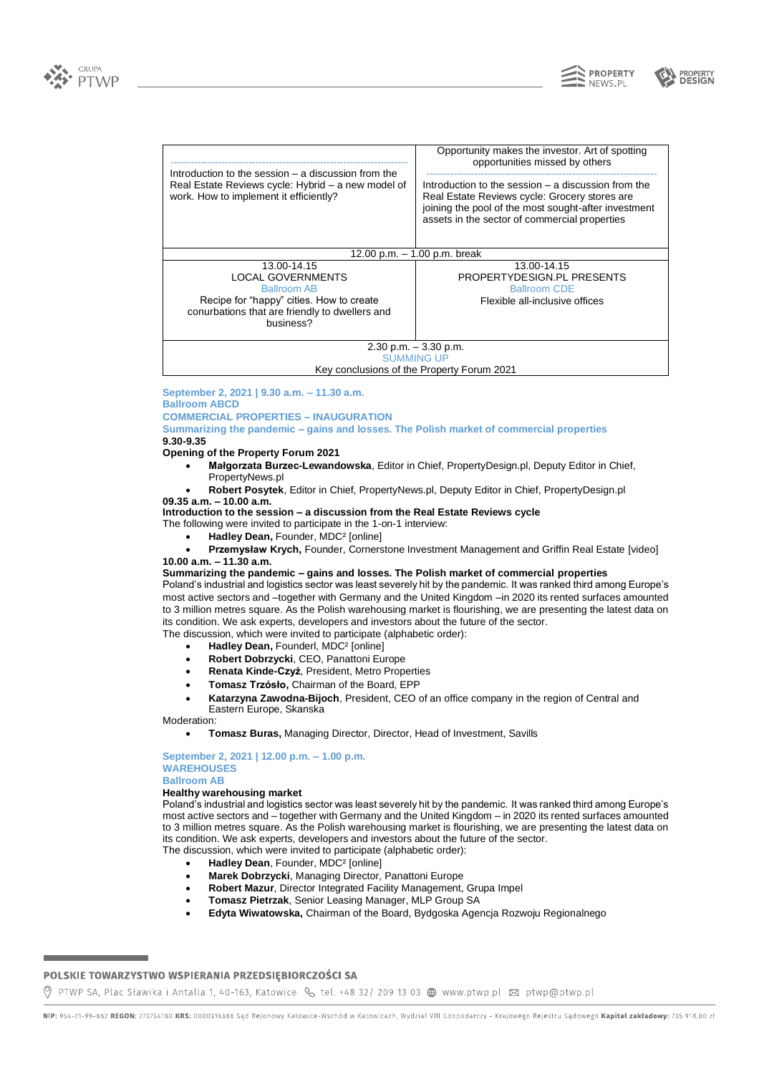

**PROPERTY** NEWS PI



| Introduction to the session $-$ a discussion from the<br>Real Estate Reviews cycle: Hybrid – a new model of<br>work. How to implement it efficiently?                    | Opportunity makes the investor. Art of spotting<br>opportunities missed by others<br>Introduction to the session – a discussion from the<br>Real Estate Reviews cycle: Grocery stores are<br>joining the pool of the most sought-after investment<br>assets in the sector of commercial properties |  |  |
|--------------------------------------------------------------------------------------------------------------------------------------------------------------------------|----------------------------------------------------------------------------------------------------------------------------------------------------------------------------------------------------------------------------------------------------------------------------------------------------|--|--|
|                                                                                                                                                                          |                                                                                                                                                                                                                                                                                                    |  |  |
| 12.00 p.m. $-$ 1.00 p.m. break                                                                                                                                           |                                                                                                                                                                                                                                                                                                    |  |  |
| 13.00-14.15<br><b>LOCAL GOVERNMENTS</b><br><b>Ballroom AB</b><br>Recipe for "happy" cities. How to create<br>conurbations that are friendly to dwellers and<br>business? | 13.00-14.15<br>PROPERTYDESIGN.PL PRESENTS<br><b>Ballroom CDE</b><br>Flexible all-inclusive offices                                                                                                                                                                                                 |  |  |
| $2.30$ p.m. $-3.30$ p.m.                                                                                                                                                 |                                                                                                                                                                                                                                                                                                    |  |  |
| <b>SUMMING UP</b>                                                                                                                                                        |                                                                                                                                                                                                                                                                                                    |  |  |
| Key conclusions of the Property Forum 2021                                                                                                                               |                                                                                                                                                                                                                                                                                                    |  |  |

**September 2, 2021 | 9.30 a.m. – 11.30 a.m. Ballroom ABCD**

**COMMERCIAL PROPERTIES – INAUGURATION**

**Summarizing the pandemic – gains and losses. The Polish market of commercial properties 9.30-9.35**

#### **Opening of the Property Forum 2021**

- **Małgorzata Burzec-Lewandowska**, Editor in Chief, PropertyDesign.pl, Deputy Editor in Chief,
- PropertyNews.pl
- **Robert Posytek**, Editor in Chief, PropertyNews.pl, Deputy Editor in Chief, PropertyDesign.pl
- **09.35 a.m. – 10.00 a.m.**

**Introduction to the session – a discussion from the Real Estate Reviews cycle**

The following were invited to participate in the 1-on-1 interview:

- **Hadley Dean,** Founder, MDC² [online]
- **Przemysław Krych,** Founder, Cornerstone Investment Management and Griffin Real Estate [video] **10.00 a.m. – 11.30 a.m.**

## **Summarizing the pandemic – gains and losses. The Polish market of commercial properties**

Poland's industrial and logistics sector was least severely hit by the pandemic. It was ranked third among Europe's most active sectors and –together with Germany and the United Kingdom –in 2020 its rented surfaces amounted to 3 million metres square. As the Polish warehousing market is flourishing, we are presenting the latest data on its condition. We ask experts, developers and investors about the future of the sector.

The discussion, which were invited to participate (alphabetic order):

- **Hadley Dean,** Founderl, MDC² [online]
- **Robert Dobrzycki**, CEO, Panattoni Europe
- **Renata Kinde-Czyż**, President, Metro Properties
- **Tomasz Trzósło,** Chairman of the Board, EPP
- **Katarzyna Zawodna-Bijoch**, President, CEO of an office company in the region of Central and Eastern Europe, Skanska

Moderation:

• **Tomasz Buras,** Managing Director, Director, Head of Investment, Savills

## **September 2, 2021 | 12.00 p.m. – 1.00 p.m. WAREHOUSES**

# **Ballroom AB**

# **Healthy warehousing market**

Poland's industrial and logistics sector was least severely hit by the pandemic. It was ranked third among Europe's most active sectors and – together with Germany and the United Kingdom – in 2020 its rented surfaces amounted to 3 million metres square. As the Polish warehousing market is flourishing, we are presenting the latest data on its condition. We ask experts, developers and investors about the future of the sector.

- The discussion, which were invited to participate (alphabetic order):
	- **Hadley Dean**, Founder, MDC² [online]
	- **Marek Dobrzycki**, Managing Director, Panattoni Europe
	- **Robert Mazur**, Director Integrated Facility Management, Grupa Impel
	- **Tomasz Pietrzak**, Senior Leasing Manager, MLP Group SA
	- **Edyta Wiwatowska,** Chairman of the Board, Bydgoska Agencja Rozwoju Regionalnego

POLSKIE TOWARZYSTWO WSPIERANIA PRZEDSIĘBIORCZOŚCI SA

NIP: 954-21-99-882 REGON: 273754180 KRS: 0000316388 Sąd Rejonowy Katowice-Wschód w Katowicach, Wydział VIII Gospodarczy - Krajowego Rejestru Sądowego Kapitał zakładowy: 735 918,00 zł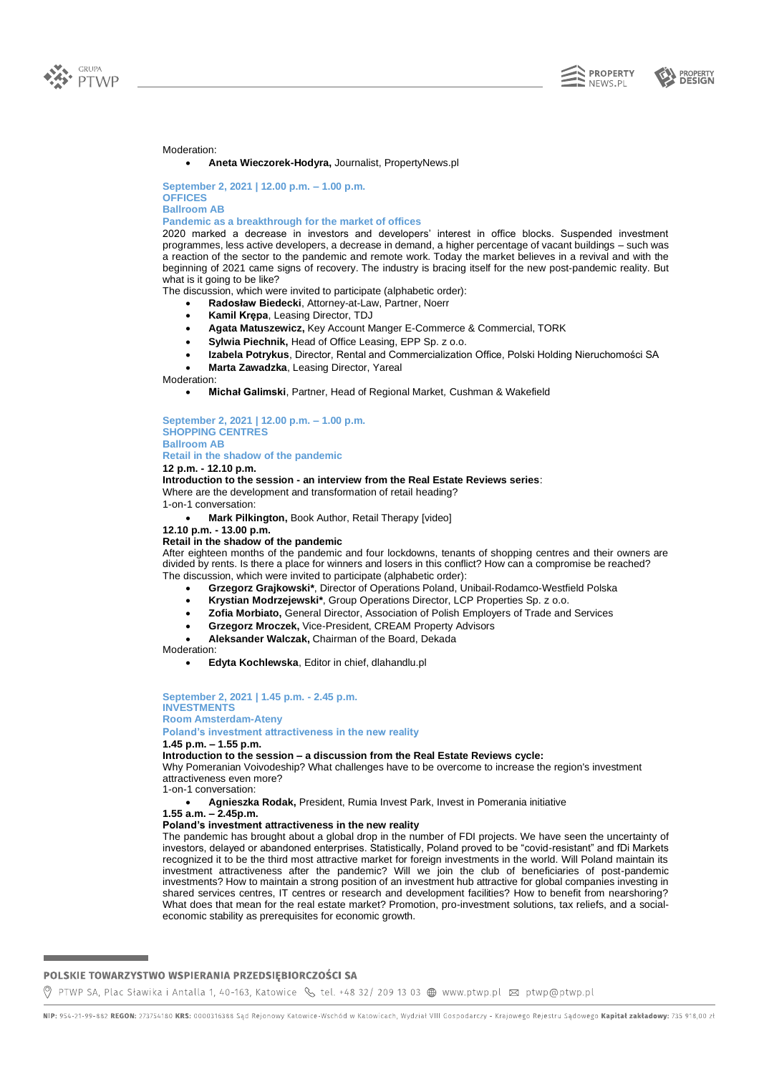

**PROPERTY**<br>**DESIGN** 



#### Moderation:

## • **Aneta Wieczorek-Hodyra,** Journalist, PropertyNews.pl

**September 2, 2021 | 12.00 p.m. – 1.00 p.m. OFFICES Ballroom AB**

#### **Pandemic as a breakthrough for the market of offices**

2020 marked a decrease in investors and developers' interest in office blocks. Suspended investment programmes, less active developers, a decrease in demand, a higher percentage of vacant buildings – such was a reaction of the sector to the pandemic and remote work. Today the market believes in a revival and with the beginning of 2021 came signs of recovery. The industry is bracing itself for the new post-pandemic reality. But what is it going to be like?

The discussion, which were invited to participate (alphabetic order):

- **Radosław Biedecki**, Attorney-at-Law, Partner, Noerr
- **Kamil Krępa**, Leasing Director, TDJ
- **Agata Matuszewicz,** Key Account Manger E-Commerce & Commercial, TORK
- **Sylwia Piechnik,** Head of Office Leasing, EPP Sp. z o.o.
- **Izabela Potrykus**, Director, Rental and Commercialization Office, Polski Holding Nieruchomości SA
- **Marta Zawadzka**, Leasing Director, Yareal

#### Moderation:

• **Michał Galimski**, Partner, Head of Regional Market*,* Cushman & Wakefield

**September 2, 2021 | 12.00 p.m. – 1.00 p.m. SHOPPING CENTRES Ballroom AB**

# **Retail in the shadow of the pandemic**

**12 p.m. - 12.10 p.m.**

**Introduction to the session - an interview from the Real Estate Reviews series**: Where are the development and transformation of retail heading?

1-on-1 conversation:

• **Mark Pilkington,** Book Author, Retail Therapy [video]

# **12.10 p.m. - 13.00 p.m.**

**Retail in the shadow of the pandemic**

After eighteen months of the pandemic and four lockdowns, tenants of shopping centres and their owners are divided by rents. Is there a place for winners and losers in this conflict? How can a compromise be reached? The discussion, which were invited to participate (alphabetic order):

- **Grzegorz Grajkowski\***, Director of Operations Poland, Unibail-Rodamco-Westfield Polska
- **Krystian Modrzejewski\***, Group Operations Director, LCP Properties Sp. z o.o.
- **Zofia Morbiato,** General Director, Association of Polish Employers of Trade and Services
- **Grzegorz Mroczek,** Vice-President, CREAM Property Advisors
- **Aleksander Walczak,** Chairman of the Board, Dekada

#### **Moderation:**

• **Edyta Kochlewska**, Editor in chief, dlahandlu.pl

**September 2, 2021 | 1.45 p.m. - 2.45 p.m. INVESTMENTS Room Amsterdam-Ateny Poland's investment attractiveness in the new reality**

#### **1.45 p.m. – 1.55 p.m.**

#### **Introduction to the session – a discussion from the Real Estate Reviews cycle:**

Why Pomeranian Voivodeship? What challenges have to be overcome to increase the region's investment attractiveness even more?

1-on-1 conversation:

• **Agnieszka Rodak,** President, Rumia Invest Park, Invest in Pomerania initiative

## **1.55 a.m. – 2.45p.m.**

**Poland's investment attractiveness in the new reality**

The pandemic has brought about a global drop in the number of FDI projects. We have seen the uncertainty of investors, delayed or abandoned enterprises. Statistically, Poland proved to be "covid-resistant" and fDi Markets recognized it to be the third most attractive market for foreign investments in the world. Will Poland maintain its investment attractiveness after the pandemic? Will we join the club of beneficiaries of post-pandemic investments? How to maintain a strong position of an investment hub attractive for global companies investing in shared services centres, IT centres or research and development facilities? How to benefit from nearshoring? What does that mean for the real estate market? Promotion, pro-investment solutions, tax reliefs, and a socialeconomic stability as prerequisites for economic growth.

## POLSKIE TOWARZYSTWO WSPIERANIA PRZEDSIĘBIORCZOŚCI SA

NIP: 954-21-99-882 REGON: 273754180 KRS: 0000316388 Sąd Rejonowy Katowice-Wschód w Katowicach, Wydział VIII Gospodarczy - Krajowego Rejestru Sądowego Kapitał zakładowy: 735 918,00 zł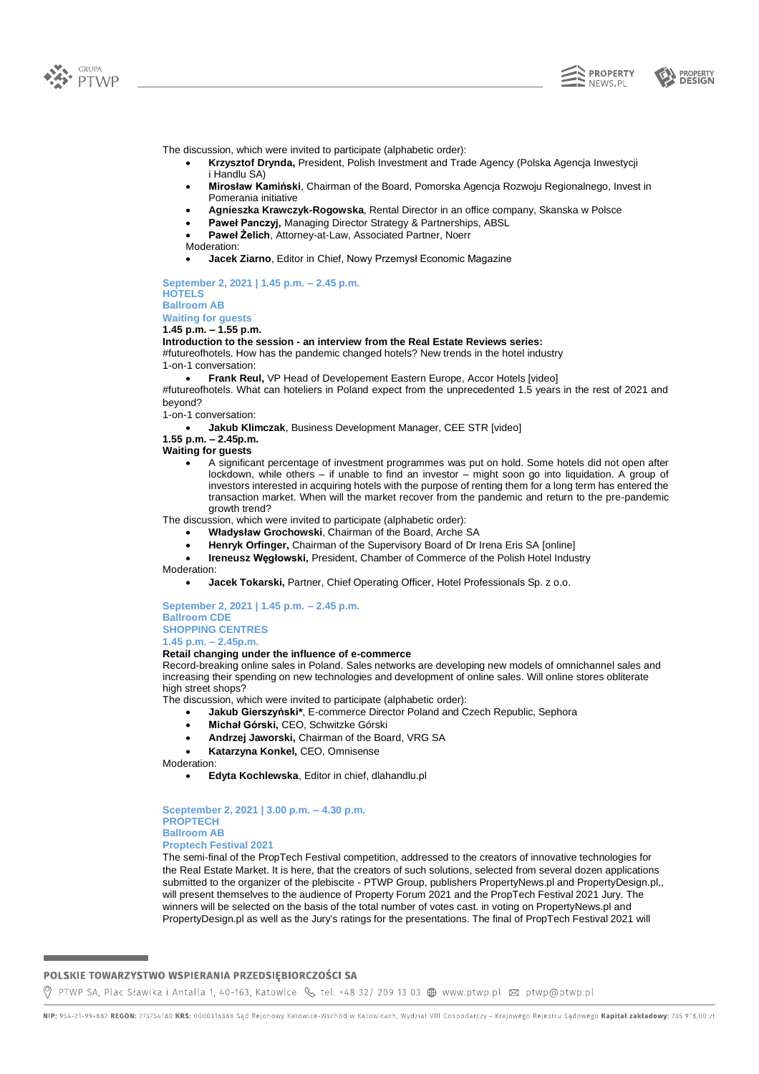





The discussion, which were invited to participate (alphabetic order):

- **Krzysztof Drynda,** President, Polish Investment and Trade Agency (Polska Agencja Inwestycji i Handlu SA)
- **Mirosław Kamiński**, Chairman of the Board, Pomorska Agencja Rozwoju Regionalnego, Invest in Pomerania initiative
- **Agnieszka Krawczyk-Rogowska**, Rental Director in an office company, Skanska w Polsce
- **Paweł Panczyj,** Managing Director Strategy & Partnerships, ABSL
- **Paweł Żelich**, Attorney-at-Law, Associated Partner, Noerr
- Moderation:
- **Jacek Ziarno**, Editor in Chief, Nowy Przemysł Economic Magazine

**September 2, 2021 | 1.45 p.m. – 2.45 p.m. HOTELS Ballroom AB Waiting for guests**

**1.45 p.m. – 1.55 p.m.**

#### **Introduction to the session - an interview from the Real Estate Reviews series:**

#futureofhotels. How has the pandemic changed hotels? New trends in the hotel industry 1-on-1 conversation:

• **Frank Reul,** VP Head of Developement Eastern Europe, Accor Hotels [video] #futureofhotels. What can hoteliers in Poland expect from the unprecedented 1.5 years in the rest of 2021 and beyond?

1-on-1 conversation:

• **Jakub Klimczak**, Business Development Manager, CEE STR [video]

# **1.55 p.m. – 2.45p.m.**

- **Waiting for guests**
	- A significant percentage of investment programmes was put on hold. Some hotels did not open after lockdown, while others – if unable to find an investor – might soon go into liquidation. A group of investors interested in acquiring hotels with the purpose of renting them for a long term has entered the transaction market. When will the market recover from the pandemic and return to the pre-pandemic growth trend?

The discussion, which were invited to participate (alphabetic order):

- **Władysław Grochowski**, Chairman of the Board, Arche SA
- **Henryk Orfinger,** Chairman of the Supervisory Board of Dr Irena Eris SA [online]
- **Ireneusz Węgłowski,** President, Chamber of Commerce of the Polish Hotel Industry Moderation:
	- **Jacek Tokarski,** Partner, Chief Operating Officer, Hotel Professionals Sp. z o.o.

**September 2, 2021 | 1.45 p.m. – 2.45 p.m. Ballroom CDE SHOPPING CENTRES 1.45 p.m. – 2.45p.m.**

#### **Retail changing under the influence of e-commerce**

Record-breaking online sales in Poland. Sales networks are developing new models of omnichannel sales and increasing their spending on new technologies and development of online sales. Will online stores obliterate high street shops?

The discussion, which were invited to participate (alphabetic order):

- **Jakub Gierszyński\***, E-commerce Director Poland and Czech Republic, Sephora
	- **Michał Górski,** CEO, Schwitzke Górski
	- **Andrzej Jaworski,** Chairman of the Board, VRG SA
	- **Katarzyna Konkel,** CEO, Omnisense

Moderation:

• **Edyta Kochlewska**, Editor in chief, dlahandlu.pl

**Sceptember 2, 2021 | 3.00 p.m. – 4.30 p.m. PROPTECH Ballroom AB Proptech Festival 2021**

The semi-final of the PropTech Festival competition, addressed to the creators of innovative technologies for the Real Estate Market. It is here, that the creators of such solutions, selected from several dozen applications submitted to the organizer of the plebiscite - PTWP Group, publishers PropertyNews.pl and PropertyDesign.pl,, will present themselves to the audience of Property Forum 2021 and the PropTech Festival 2021 Jury. The winners will be selected on the basis of the total number of votes cast. in voting on PropertyNews.pl and PropertyDesign.pl as well as the Jury's ratings for the presentations. The final of PropTech Festival 2021 will

## POLSKIE TOWARZYSTWO WSPIERANIA PRZEDSIĘBIORCZOŚCI SA

NIP: 954-21-99-882 REGON: 273754180 KRS: 0000316388 Sąd Rejonowy Katowice-Wschód w Katowicach, Wydział VIII Gospodarczy - Krajowego Rejestru Sądowego Kapitał zakładowy: 735 918,00 zł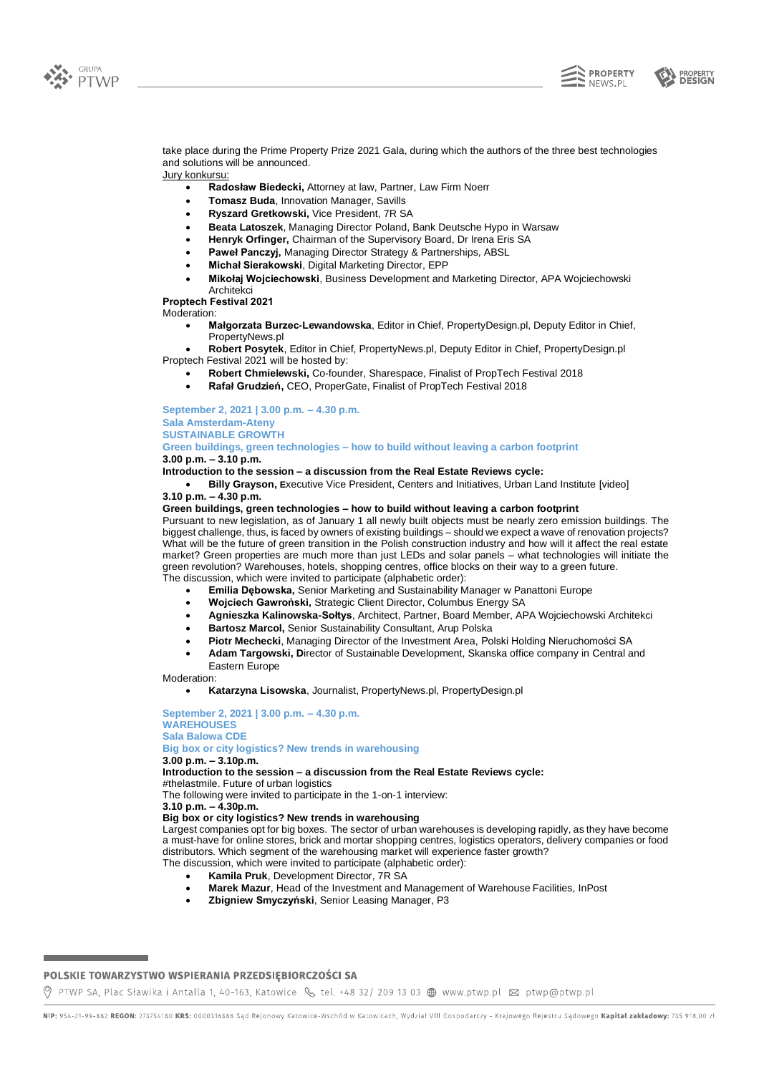





take place during the Prime Property Prize 2021 Gala, during which the authors of the three best technologies and solutions will be announced.

Jury konkursu:

- **Radosław Biedecki,** Attorney at law, Partner, Law Firm Noerr
- **Tomasz Buda**, Innovation Manager, Savills
- **Ryszard Gretkowski,** Vice President, 7R SA
- **Beata Latoszek**, Managing Director Poland, Bank Deutsche Hypo in Warsaw
- **Henryk Orfinger,** Chairman of the Supervisory Board, Dr Irena Eris SA
- **Paweł Panczyj,** Managing Director Strategy & Partnerships, ABSL
- **Michał Sierakowski**, Digital Marketing Director, EPP
- **Mikołaj Wojciechowski**, Business Development and Marketing Director, APA Wojciechowski

Architekci **Proptech Festival 2021**

Moderation:

- **Małgorzata Burzec-Lewandowska**, Editor in Chief, PropertyDesign.pl, Deputy Editor in Chief, PropertyNews.pl
- **Robert Posytek**, Editor in Chief, PropertyNews.pl, Deputy Editor in Chief, PropertyDesign.pl Proptech Festival 2021 will be hosted by:
	- **Robert Chmielewski,** Co-founder, Sharespace, Finalist of PropTech Festival 2018
	- **Rafał Grudzień,** CEO, ProperGate, Finalist of PropTech Festival 2018

**September 2, 2021 | 3.00 p.m. – 4.30 p.m.**

# **Sala Amsterdam-Ateny**

**SUSTAINABLE GROWTH**

**Green buildings, green technologies – how to build without leaving a carbon footprint 3.00 p.m. – 3.10 p.m.**

**Introduction to the session – a discussion from the Real Estate Reviews cycle:**

• **Billy Grayson, E**xecutive Vice President, Centers and Initiatives, Urban Land Institute [video] **3.10 p.m. – 4.30 p.m.**

## **Green buildings, green technologies – how to build without leaving a carbon footprint**

Pursuant to new legislation, as of January 1 all newly built objects must be nearly zero emission buildings. The biggest challenge, thus, is faced by owners of existing buildings – should we expect a wave of renovation projects? What will be the future of green transition in the Polish construction industry and how will it affect the real estate market? Green properties are much more than just LEDs and solar panels – what technologies will initiate the green revolution? Warehouses, hotels, shopping centres, office blocks on their way to a green future.

- The discussion, which were invited to participate (alphabetic order):
	- **Emilia Dębowska,** Senior Marketing and Sustainability Manager w Panattoni Europe
	- **Wojciech Gawroński,** Strategic Client Director, Columbus Energy SA
	- **Agnieszka Kalinowska-Sołtys**, Architect, Partner, Board Member, APA Wojciechowski Architekci
	- **Bartosz Marcol,** Senior Sustainability Consultant, Arup Polska
	- **Piotr Mechecki**, Managing Director of the Investment Area, Polski Holding Nieruchomości SA
	- **Adam Targowski, D**irector of Sustainable Development, Skanska office company in Central and Eastern Europe

Moderation:

• **Katarzyna Lisowska**, Journalist, PropertyNews.pl, PropertyDesign.pl

#### **September 2, 2021 | 3.00 p.m. – 4.30 p.m. WAREHOUSES Sala Balowa CDE Big box or city logistics? New trends in warehousing 3.00 p.m. – 3.10p.m. Introduction to the session – a discussion from the Real Estate Reviews cycle:** #thelastmile. Future of urban logistics The following were invited to participate in the 1-on-1 interview: **3.10 p.m. – 4.30p.m. Big box or city logistics? New trends in warehousing** Largest companies opt for big boxes. The sector of urban warehouses is developing rapidly, as they have become a must-have for online stores, brick and mortar shopping centres, logistics operators, delivery companies or food distributors. Which segment of the warehousing market will experience faster growth?

The discussion, which were invited to participate (alphabetic order):

- **Kamila Pruk**, Development Director, 7R SA
- **Marek Mazur**, Head of the Investment and Management of Warehouse Facilities, InPost
- **Zbigniew Smyczyński**, Senior Leasing Manager, P3

## POLSKIE TOWARZYSTWO WSPIERANIA PRZEDSIĘBIORCZOŚCI SA

NIP: 954-21-99-882 REGON: 273754180 KRS: 0000316388 Sąd Rejonowy Katowice-Wschód w Katowicach, Wydział VIII Gospodarczy - Krajowego Rejestru Sądowego Kapitał zakładowy: 735 918,00 zł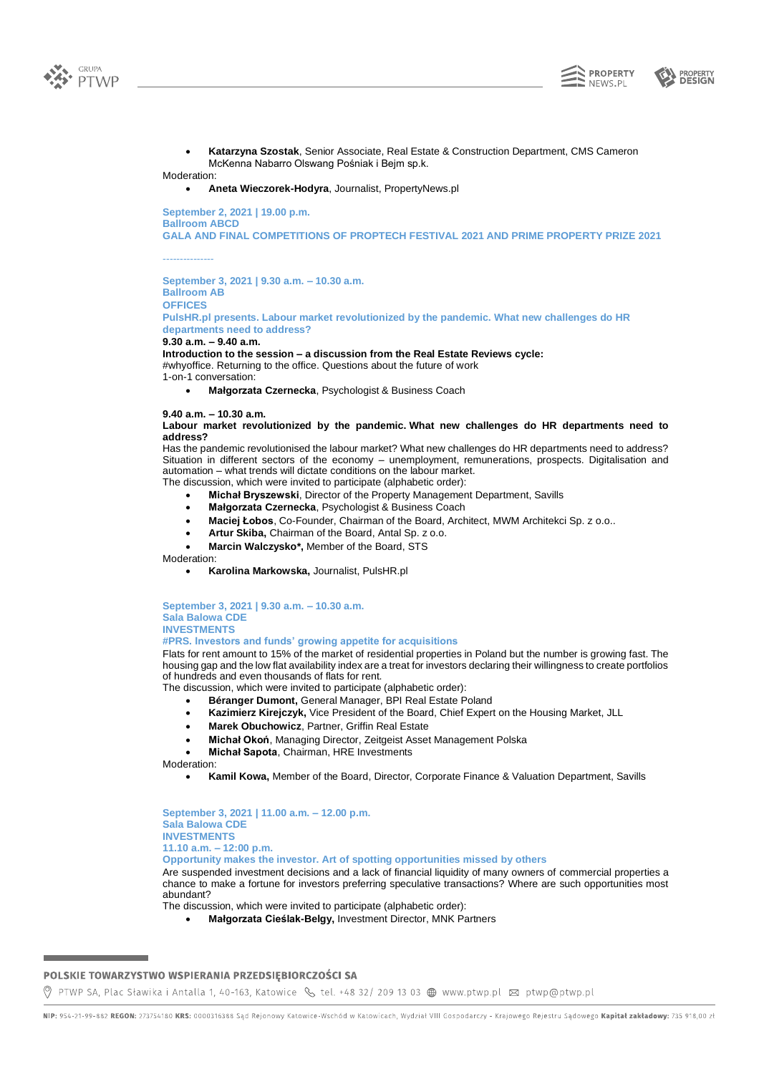



• **Katarzyna Szostak**, Senior Associate, Real Estate & Construction Department, CMS Cameron McKenna Nabarro Olswang Pośniak i Bejm sp.k.

# Moderation:

• **Aneta Wieczorek-Hodyra**, Journalist, PropertyNews.pl

**September 2, 2021 | 19.00 p.m. Ballroom ABCD GALA AND FINAL COMPETITIONS OF PROPTECH FESTIVAL 2021 AND PRIME PROPERTY PRIZE 2021**

---------------

**September 3, 2021 | 9.30 a.m. – 10.30 a.m. Ballroom AB OFFICES**

**PulsHR.pl presents. Labour market revolutionized by the pandemic. What new challenges do HR departments need to address?**

**9.30 a.m. – 9.40 a.m.**

**Introduction to the session – a discussion from the Real Estate Reviews cycle:**

#whyoffice. Returning to the office. Questions about the future of work 1-on-1 conversation:

• **Małgorzata Czernecka**, Psychologist & Business Coach

**9.40 a.m. – 10.30 a.m.**

## **Labour market revolutionized by the pandemic. What new challenges do HR departments need to address?**

Has the pandemic revolutionised the labour market? What new challenges do HR departments need to address? Situation in different sectors of the economy – unemployment, remunerations, prospects. Digitalisation and automation – what trends will dictate conditions on the labour market. The discussion, which were invited to participate (alphabetic order):

- **Michał Bryszewski**, Director of the Property Management Department, Savills
- **Małgorzata Czernecka**, Psychologist & Business Coach
- **Maciej Łobos**, Co-Founder, Chairman of the Board, Architect, MWM Architekci Sp. z o.o..
- **Artur Skiba,** Chairman of the Board, Antal Sp. z o.o.
- **Marcin Walczysko\*,** Member of the Board, STS

Moderation:

• **Karolina Markowska,** Journalist, PulsHR.pl

**September 3, 2021 | 9.30 a.m. – 10.30 a.m. Sala Balowa CDE INVESTMENTS**

#### **#PRS. Investors and funds' growing appetite for acquisitions**

Flats for rent amount to 15% of the market of residential properties in Poland but the number is growing fast. The housing gap and the low flat availability index are a treat for investors declaring their willingness to create portfolios of hundreds and even thousands of flats for rent.

The discussion, which were invited to participate (alphabetic order):

- **Béranger Dumont,** General Manager, BPI Real Estate Poland
- **Kazimierz Kirejczyk,** Vice President of the Board, Chief Expert on the Housing Market, JLL
- **Marek Obuchowicz**, Partner, Griffin Real Estate
- **Michał Okoń**, Managing Director, Zeitgeist Asset Management Polska
- **Michał Sapota**, Chairman, HRE Investments

Moderation:

• **Kamil Kowa,** Member of the Board, Director, Corporate Finance & Valuation Department, Savills

**September 3, 2021 | 11.00 a.m. – 12.00 p.m. Sala Balowa CDE INVESTMENTS 11.10 a.m. – 12:00 p.m. Opportunity makes the investor. Art of spotting opportunities missed by others** Are suspended investment decisions and a lack of financial liquidity of many owners of commercial properties a chance to make a fortune for investors preferring speculative transactions? Where are such opportunities most abundant?

The discussion, which were invited to participate (alphabetic order):

• **Małgorzata Cieślak-Belgy,** Investment Director, MNK Partners

# POLSKIE TOWARZYSTWO WSPIERANIA PRZEDSIĘBIORCZOŚCI SA

NIP: 954-21-99-882 REGON: 273754180 KRS: 0000316388 Sąd Rejonowy Katowice-Wschód w Katowicach, Wydział VIII Gospodarczy - Krajowego Rejestru Sądowego Kapitał zakładowy: 735 918,00 zł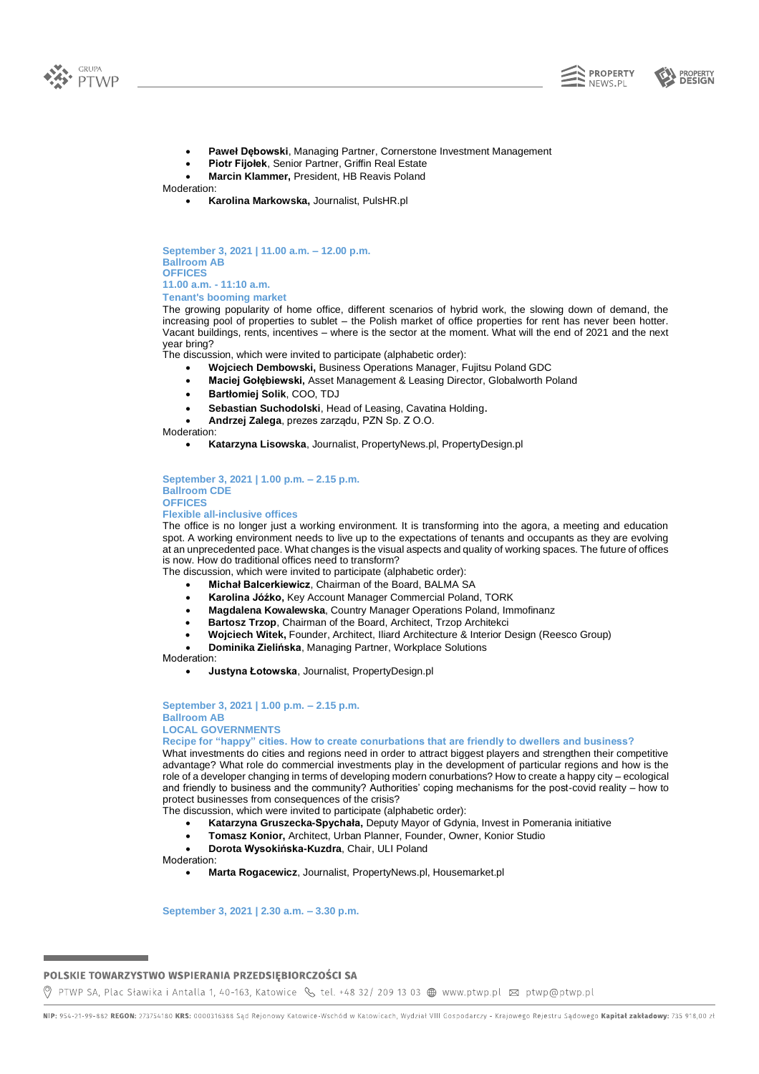





- **Paweł Dębowski**, Managing Partner, Cornerstone Investment Management
- **Piotr Fijołek**, Senior Partner, Griffin Real Estate
- **Marcin Klammer,** President, HB Reavis Poland

Moderation:

• **Karolina Markowska,** Journalist, PulsHR.pl

**September 3, 2021 | 11.00 a.m. – 12.00 p.m. Ballroom AB OFFICES 11.00 a.m. - 11:10 a.m.**

**Tenant's booming market**

The growing popularity of home office, different scenarios of hybrid work, the slowing down of demand, the increasing pool of properties to sublet – the Polish market of office properties for rent has never been hotter. Vacant buildings, rents, incentives – where is the sector at the moment. What will the end of 2021 and the next year bring?

The discussion, which were invited to participate (alphabetic order):

- **Wojciech Dembowski,** Business Operations Manager, Fujitsu Poland GDC
- **Maciej Gołębiewski,** Asset Management & Leasing Director, Globalworth Poland
- **Bartłomiej Solik**, COO, TDJ
- **Sebastian Suchodolski**, Head of Leasing, Cavatina Holding.
- **Andrzej Zalega**, prezes zarządu, PZN Sp. Z O.O.

Moderation:

• **Katarzyna Lisowska**, Journalist, PropertyNews.pl, PropertyDesign.pl

**September 3, 2021 | 1.00 p.m. – 2.15 p.m. Ballroom CDE OFFICES**

**Flexible all-inclusive offices**

The office is no longer just a working environment. It is transforming into the agora, a meeting and education spot. A working environment needs to live up to the expectations of tenants and occupants as they are evolving at an unprecedented pace. What changes is the visual aspects and quality of working spaces. The future of offices is now. How do traditional offices need to transform?

The discussion, which were invited to participate (alphabetic order):

- **Michał Balcerkiewicz**, Chairman of the Board, BALMA SA
- **Karolina Jóźko,** Key Account Manager Commercial Poland, TORK
- **Magdalena Kowalewska**, Country Manager Operations Poland, Immofinanz
- **Bartosz Trzop**, Chairman of the Board, Architect, Trzop Architekci
- **Wojciech Witek,** Founder, Architect, Iliard Architecture & Interior Design (Reesco Group)
- **Dominika Zielińska**, Managing Partner, Workplace Solutions

Moderation:

• **Justyna Łotowska**, Journalist, PropertyDesign.pl

**September 3, 2021 | 1.00 p.m. – 2.15 p.m. Ballroom AB LOCAL GOVERNMENTS**

**Recipe for "happy" cities. How to create conurbations that are friendly to dwellers and business?**

What investments do cities and regions need in order to attract biggest players and strengthen their competitive advantage? What role do commercial investments play in the development of particular regions and how is the role of a developer changing in terms of developing modern conurbations? How to create a happy city – ecological and friendly to business and the community? Authorities' coping mechanisms for the post-covid reality – how to protect businesses from consequences of the crisis?

- The discussion, which were invited to participate (alphabetic order):
	- **Katarzyna Gruszecka-Spychała,** Deputy Mayor of Gdynia, Invest in Pomerania initiative
	- **Tomasz Konior,** Architect, Urban Planner, Founder, Owner, Konior Studio

• **Dorota Wysokińska-Kuzdra**, Chair, ULI Poland

Moderation:

• **Marta Rogacewicz**, Journalist, PropertyNews.pl, Housemarket.pl

**September 3, 2021 | 2.30 a.m. – 3.30 p.m.**

## POLSKIE TOWARZYSTWO WSPIERANIA PRZEDSIĘBIORCZOŚCI SA

NIP: 954-21-99-882 REGON: 273754180 KRS: 0000316388 Sąd Rejonowy Katowice-Wschód w Katowicach, Wydział VIII Gospodarczy - Krajowego Rejestru Sądowego Kapitał zakładowy: 735 918,00 zł